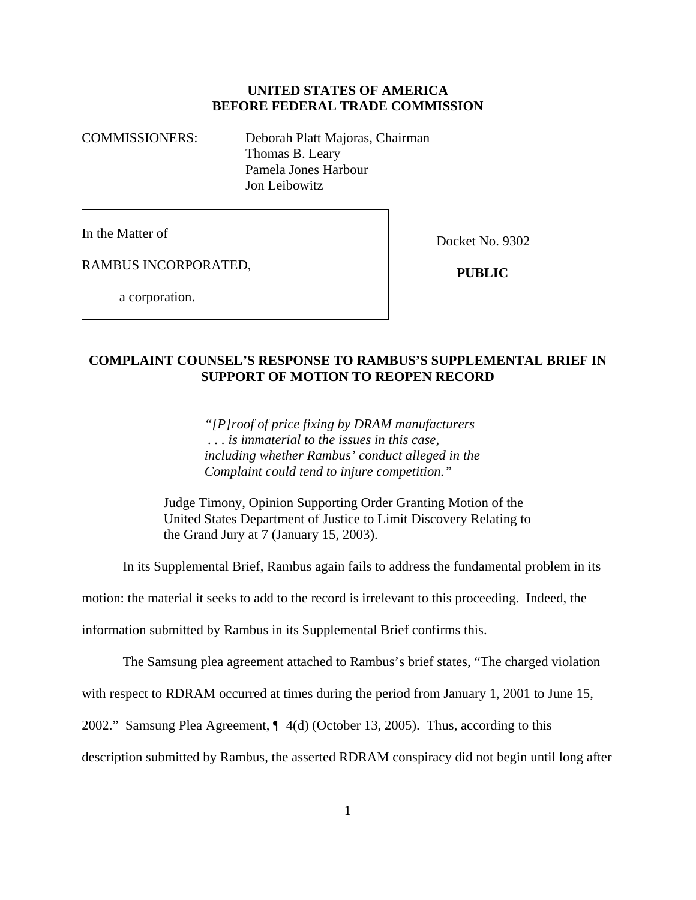## **UNITED STATES OF AMERICA BEFORE FEDERAL TRADE COMMISSION**

COMMISSIONERS: Deborah Platt Majoras, Chairman Thomas B. Leary Pamela Jones Harbour Jon Leibowitz

In the Matter of

Docket No. 9302

RAMBUS INCORPORATED,

 **PUBLIC**

a corporation.

## **COMPLAINT COUNSEL'S RESPONSE TO RAMBUS'S SUPPLEMENTAL BRIEF IN SUPPORT OF MOTION TO REOPEN RECORD**

*"[P]roof of price fixing by DRAM manufacturers . . . is immaterial to the issues in this case, including whether Rambus' conduct alleged in the Complaint could tend to injure competition."*

Judge Timony, Opinion Supporting Order Granting Motion of the United States Department of Justice to Limit Discovery Relating to the Grand Jury at 7 (January 15, 2003).

In its Supplemental Brief, Rambus again fails to address the fundamental problem in its

motion: the material it seeks to add to the record is irrelevant to this proceeding. Indeed, the

information submitted by Rambus in its Supplemental Brief confirms this.

The Samsung plea agreement attached to Rambus's brief states, "The charged violation

with respect to RDRAM occurred at times during the period from January 1, 2001 to June 15,

2002." Samsung Plea Agreement, ¶ 4(d) (October 13, 2005). Thus, according to this

description submitted by Rambus, the asserted RDRAM conspiracy did not begin until long after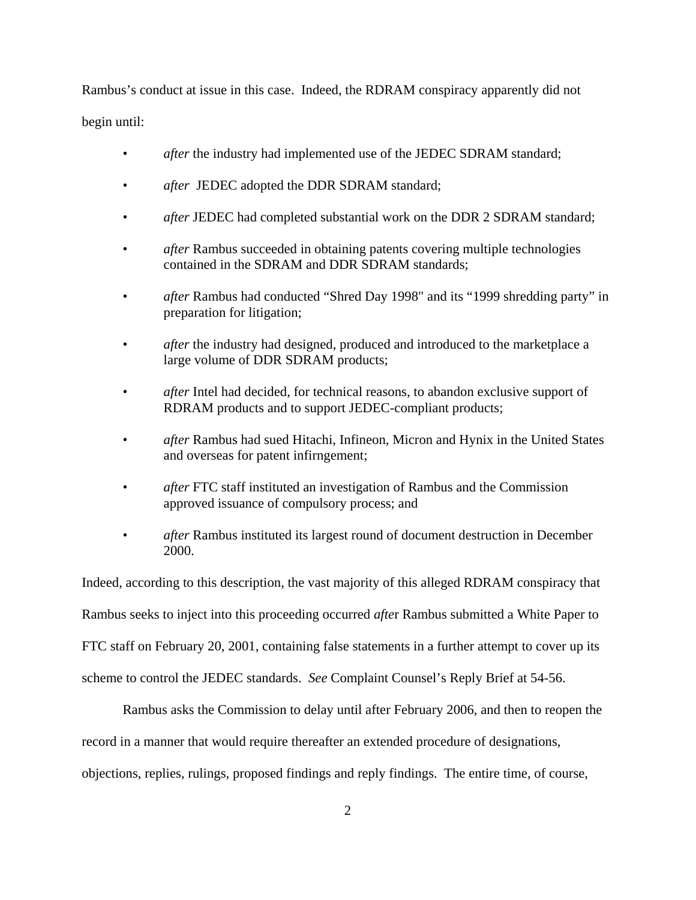Rambus's conduct at issue in this case. Indeed, the RDRAM conspiracy apparently did not begin until:

- *after* the industry had implemented use of the JEDEC SDRAM standard;
- *after* JEDEC adopted the DDR SDRAM standard;
- *after* JEDEC had completed substantial work on the DDR 2 SDRAM standard;
- *after* Rambus succeeded in obtaining patents covering multiple technologies contained in the SDRAM and DDR SDRAM standards;
- *after* Rambus had conducted "Shred Day 1998" and its "1999 shredding party" in preparation for litigation;
- *after* the industry had designed, produced and introduced to the marketplace a large volume of DDR SDRAM products;
- *after* Intel had decided, for technical reasons, to abandon exclusive support of RDRAM products and to support JEDEC-compliant products;
- *after* Rambus had sued Hitachi, Infineon, Micron and Hynix in the United States and overseas for patent infirngement;
- *after* FTC staff instituted an investigation of Rambus and the Commission approved issuance of compulsory process; and
- *after* Rambus instituted its largest round of document destruction in December 2000.

Indeed, according to this description, the vast majority of this alleged RDRAM conspiracy that Rambus seeks to inject into this proceeding occurred *afte*r Rambus submitted a White Paper to FTC staff on February 20, 2001, containing false statements in a further attempt to cover up its scheme to control the JEDEC standards. *See* Complaint Counsel's Reply Brief at 54-56.

Rambus asks the Commission to delay until after February 2006, and then to reopen the record in a manner that would require thereafter an extended procedure of designations, objections, replies, rulings, proposed findings and reply findings. The entire time, of course,